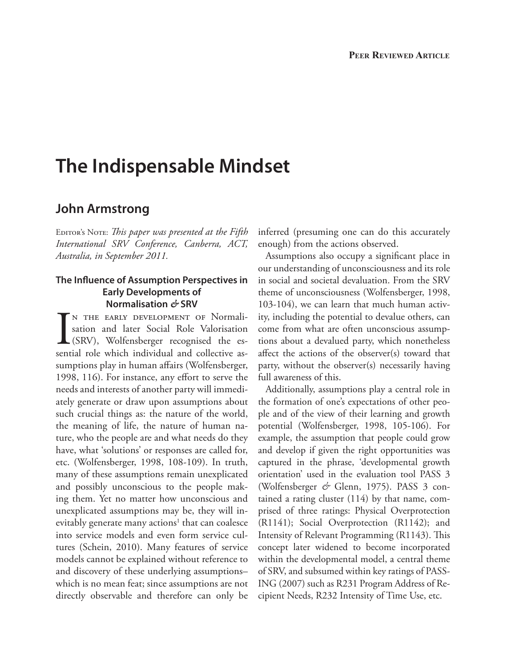# **The Indispensable Mindset**

## **John Armstrong**

EDITOR'S NOTE: *This paper was presented at the Fifth International SRV Conference, Canberra, ACT, Australia, in September 2011.* 

## **The Influence of Assumption Perspectives in Early Developments of Normalisation** *&* **SRV**

I<sub>sent</sub> n the early development of Normalisation and later Social Role Valorisation (SRV), Wolfensberger recognised the essential role which individual and collective assumptions play in human affairs (Wolfensberger, 1998, 116). For instance, any effort to serve the needs and interests of another party will immediately generate or draw upon assumptions about such crucial things as: the nature of the world, the meaning of life, the nature of human nature, who the people are and what needs do they have, what 'solutions' or responses are called for, etc. (Wolfensberger, 1998, 108-109). In truth, many of these assumptions remain unexplicated and possibly unconscious to the people making them. Yet no matter how unconscious and unexplicated assumptions may be, they will inevitably generate many actions<sup>1</sup> that can coalesce into service models and even form service cultures (Schein, 2010). Many features of service models cannot be explained without reference to and discovery of these underlying assumptions– which is no mean feat; since assumptions are not directly observable and therefore can only be

inferred (presuming one can do this accurately enough) from the actions observed.

Assumptions also occupy a significant place in our understanding of unconsciousness and its role in social and societal devaluation. From the SRV theme of unconsciousness (Wolfensberger, 1998, 103-104), we can learn that much human activity, including the potential to devalue others, can come from what are often unconscious assumptions about a devalued party, which nonetheless affect the actions of the observer(s) toward that party, without the observer(s) necessarily having full awareness of this.

Additionally, assumptions play a central role in the formation of one's expectations of other people and of the view of their learning and growth potential (Wolfensberger, 1998, 105-106). For example, the assumption that people could grow and develop if given the right opportunities was captured in the phrase, 'developmental growth orientation' used in the evaluation tool PASS 3 (Wolfensberger *&* Glenn, 1975). PASS 3 contained a rating cluster (114) by that name, comprised of three ratings: Physical Overprotection (R1141); Social Overprotection (R1142); and Intensity of Relevant Programming (R1143). This concept later widened to become incorporated within the developmental model, a central theme of SRV, and subsumed within key ratings of PASS-ING (2007) such as R231 Program Address of Recipient Needs, R232 Intensity of Time Use, etc.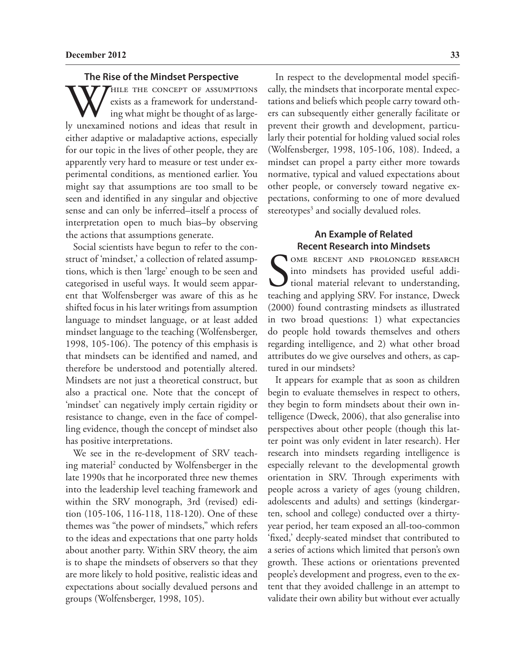#### **The Rise of the Mindset Perspective**

WHILE THE CONCEPT OF ASSUMPTIONS<br>
ing what might be thought of as large-<br>
ly unexamined notions and ideas that result in exists as a framework for understanding what might be thought of as largeeither adaptive or maladaptive actions, especially for our topic in the lives of other people, they are apparently very hard to measure or test under experimental conditions, as mentioned earlier. You might say that assumptions are too small to be seen and identified in any singular and objective sense and can only be inferred–itself a process of interpretation open to much bias–by observing the actions that assumptions generate.

Social scientists have begun to refer to the construct of 'mindset,' a collection of related assumptions, which is then 'large' enough to be seen and categorised in useful ways. It would seem apparent that Wolfensberger was aware of this as he shifted focus in his later writings from assumption language to mindset language, or at least added mindset language to the teaching (Wolfensberger, 1998, 105-106). The potency of this emphasis is that mindsets can be identified and named, and therefore be understood and potentially altered. Mindsets are not just a theoretical construct, but also a practical one. Note that the concept of 'mindset' can negatively imply certain rigidity or resistance to change, even in the face of compelling evidence, though the concept of mindset also has positive interpretations.

We see in the re-development of SRV teaching material2 conducted by Wolfensberger in the late 1990s that he incorporated three new themes into the leadership level teaching framework and within the SRV monograph, 3rd (revised) edition (105-106, 116-118, 118-120). One of these themes was "the power of mindsets," which refers to the ideas and expectations that one party holds about another party. Within SRV theory, the aim is to shape the mindsets of observers so that they are more likely to hold positive, realistic ideas and expectations about socially devalued persons and groups (Wolfensberger, 1998, 105).

In respect to the developmental model specifically, the mindsets that incorporate mental expectations and beliefs which people carry toward others can subsequently either generally facilitate or prevent their growth and development, particularly their potential for holding valued social roles (Wolfensberger, 1998, 105-106, 108). Indeed, a mindset can propel a party either more towards normative, typical and valued expectations about other people, or conversely toward negative expectations, conforming to one of more devalued stereotypes<sup>3</sup> and socially devalued roles.

## **An Example of Related Recent Research into Mindsets**

SOME RECENT AND PROLONGED RESEARCH into mindsets has provided useful additional material relevant to understanding, teaching and applying SRV. For instance, Dweck OME RECENT AND PROLONGED RESEARCH into mindsets has provided useful additional material relevant to understanding, (2000) found contrasting mindsets as illustrated in two broad questions: 1) what expectancies do people hold towards themselves and others regarding intelligence, and 2) what other broad attributes do we give ourselves and others, as captured in our mindsets?

It appears for example that as soon as children begin to evaluate themselves in respect to others, they begin to form mindsets about their own intelligence (Dweck, 2006), that also generalise into perspectives about other people (though this latter point was only evident in later research). Her research into mindsets regarding intelligence is especially relevant to the developmental growth orientation in SRV. Through experiments with people across a variety of ages (young children, adolescents and adults) and settings (kindergarten, school and college) conducted over a thirtyyear period, her team exposed an all-too-common 'fixed,' deeply-seated mindset that contributed to a series of actions which limited that person's own growth. These actions or orientations prevented people's development and progress, even to the extent that they avoided challenge in an attempt to validate their own ability but without ever actually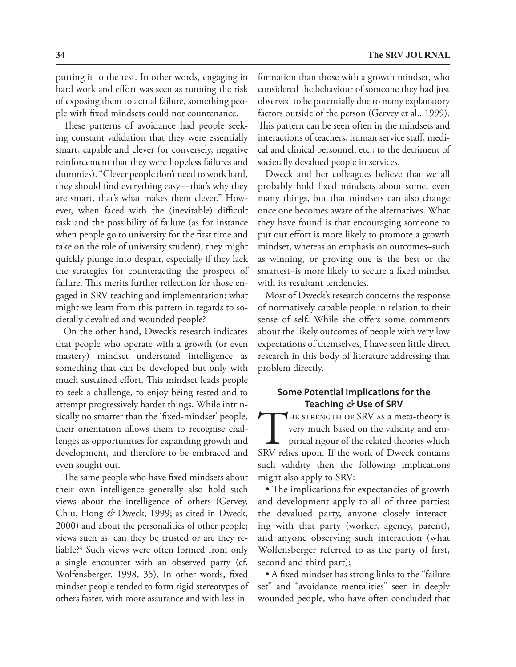putting it to the test. In other words, engaging in hard work and effort was seen as running the risk of exposing them to actual failure, something people with fixed mindsets could not countenance.

These patterns of avoidance had people seeking constant validation that they were essentially smart, capable and clever (or conversely, negative reinforcement that they were hopeless failures and dummies). "Clever people don't need to work hard, they should find everything easy—that's why they are smart, that's what makes them clever." However, when faced with the (inevitable) difficult task and the possibility of failure (as for instance when people go to university for the first time and take on the role of university student), they might quickly plunge into despair, especially if they lack the strategies for counteracting the prospect of failure. This merits further reflection for those engaged in SRV teaching and implementation: what might we learn from this pattern in regards to societally devalued and wounded people?

On the other hand, Dweck's research indicates that people who operate with a growth (or even mastery) mindset understand intelligence as something that can be developed but only with much sustained effort. This mindset leads people to seek a challenge, to enjoy being tested and to attempt progressively harder things. While intrinsically no smarter than the 'fixed-mindset' people, their orientation allows them to recognise challenges as opportunities for expanding growth and development, and therefore to be embraced and even sought out.

The same people who have fixed mindsets about their own intelligence generally also hold such views about the intelligence of others (Gervey, Chiu, Hong *&* Dweck, 1999; as cited in Dweck, 2000) and about the personalities of other people; views such as, can they be trusted or are they reliable?4 Such views were often formed from only a single encounter with an observed party (cf. Wolfensberger, 1998, 35). In other words, fixed mindset people tended to form rigid stereotypes of others faster, with more assurance and with less information than those with a growth mindset, who considered the behaviour of someone they had just observed to be potentially due to many explanatory factors outside of the person (Gervey et al., 1999). This pattern can be seen often in the mindsets and interactions of teachers, human service staff, medical and clinical personnel, etc.; to the detriment of societally devalued people in services.

Dweck and her colleagues believe that we all probably hold fixed mindsets about some, even many things, but that mindsets can also change once one becomes aware of the alternatives. What they have found is that encouraging someone to put out effort is more likely to promote a growth mindset, whereas an emphasis on outcomes–such as winning, or proving one is the best or the smartest–is more likely to secure a fixed mindset with its resultant tendencies.

Most of Dweck's research concerns the response of normatively capable people in relation to their sense of self. While she offers some comments about the likely outcomes of people with very low expectations of themselves, I have seen little direct research in this body of literature addressing that problem directly.

## **Some Potential Implications for the Teaching** *&* **Use of SRV**

THE STRENGTH OF SRV AS a meta-theory is<br>very much based on the validity and em-<br>pirical rigour of the related theories which<br>SRV relies upon. If the work of Dweck contains very much based on the validity and empirical rigour of the related theories which SRV relies upon. If the work of Dweck contains such validity then the following implications might also apply to SRV:

• The implications for expectancies of growth and development apply to all of three parties: the devalued party, anyone closely interacting with that party (worker, agency, parent), and anyone observing such interaction (what Wolfensberger referred to as the party of first, second and third part);

• A fixed mindset has strong links to the "failure set" and "avoidance mentalities" seen in deeply wounded people, who have often concluded that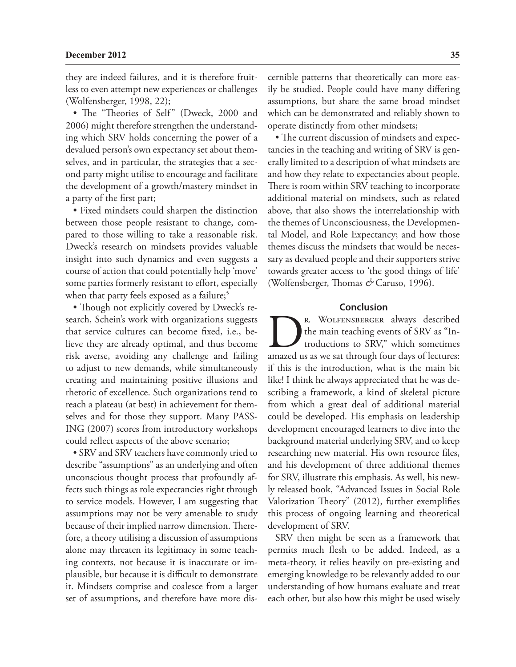they are indeed failures, and it is therefore fruitless to even attempt new experiences or challenges (Wolfensberger, 1998, 22);

• The "Theories of Self" (Dweck, 2000 and 2006) might therefore strengthen the understanding which SRV holds concerning the power of a devalued person's own expectancy set about themselves, and in particular, the strategies that a second party might utilise to encourage and facilitate the development of a growth/mastery mindset in a party of the first part;

• Fixed mindsets could sharpen the distinction between those people resistant to change, compared to those willing to take a reasonable risk. Dweck's research on mindsets provides valuable insight into such dynamics and even suggests a course of action that could potentially help 'move' some parties formerly resistant to effort, especially when that party feels exposed as a failure;<sup>5</sup>

• Though not explicitly covered by Dweck's research, Schein's work with organizations suggests that service cultures can become fixed, i.e., believe they are already optimal, and thus become risk averse, avoiding any challenge and failing to adjust to new demands, while simultaneously creating and maintaining positive illusions and rhetoric of excellence. Such organizations tend to reach a plateau (at best) in achievement for themselves and for those they support. Many PASS-ING (2007) scores from introductory workshops could reflect aspects of the above scenario;

• SRV and SRV teachers have commonly tried to describe "assumptions" as an underlying and often unconscious thought process that profoundly affects such things as role expectancies right through to service models. However, I am suggesting that assumptions may not be very amenable to study because of their implied narrow dimension. Therefore, a theory utilising a discussion of assumptions alone may threaten its legitimacy in some teaching contexts, not because it is inaccurate or implausible, but because it is difficult to demonstrate it. Mindsets comprise and coalesce from a larger set of assumptions, and therefore have more discernible patterns that theoretically can more easily be studied. People could have many differing assumptions, but share the same broad mindset which can be demonstrated and reliably shown to operate distinctly from other mindsets;

• The current discussion of mindsets and expectancies in the teaching and writing of SRV is generally limited to a description of what mindsets are and how they relate to expectancies about people. There is room within SRV teaching to incorporate additional material on mindsets, such as related above, that also shows the interrelationship with the themes of Unconsciousness, the Developmental Model, and Role Expectancy; and how those themes discuss the mindsets that would be necessary as devalued people and their supporters strive towards greater access to 'the good things of life' (Wolfensberger, Thomas *&* Caruso, 1996).

### **Conclusion**

R. WOLFENSBERGER always described<br>the main teaching events of SRV as "In-<br>troductions to SRV," which sometimes<br>amazed us as we sat through four days of lectures: the main teaching events of SRV as "Introductions to SRV," which sometimes if this is the introduction, what is the main bit like! I think he always appreciated that he was describing a framework, a kind of skeletal picture from which a great deal of additional material could be developed. His emphasis on leadership development encouraged learners to dive into the background material underlying SRV, and to keep researching new material. His own resource files, and his development of three additional themes for SRV, illustrate this emphasis. As well, his newly released book, "Advanced Issues in Social Role Valorization Theory" (2012), further exemplifies this process of ongoing learning and theoretical development of SRV.

SRV then might be seen as a framework that permits much flesh to be added. Indeed, as a meta-theory, it relies heavily on pre-existing and emerging knowledge to be relevantly added to our understanding of how humans evaluate and treat each other, but also how this might be used wisely